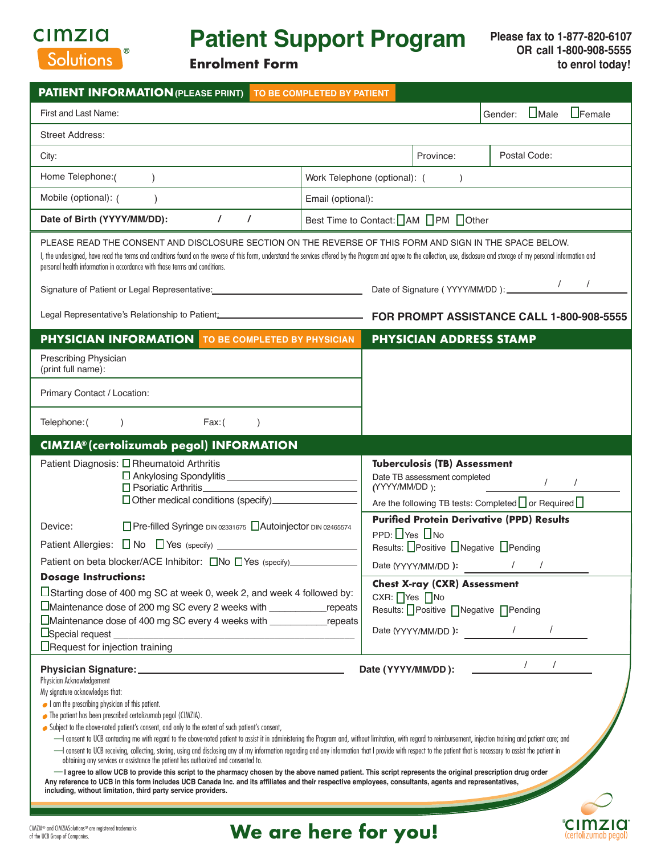

# **Patient Support Program**

**Enrolment Form**

**CIMZIO** (certolizumab pegol)

| <b>PATIENT INFORMATION (PLEASE PRINT)</b> TO BE COMPLETED BY PATIENT                                                                                                                                                                                                                                                                                                                                                                                                                                                                                                                                                                                                                                                                                                                                                                                                                                                                                                                                                                                                                                                                                                                                                                                         |                                                                                                                                                                                                                         |
|--------------------------------------------------------------------------------------------------------------------------------------------------------------------------------------------------------------------------------------------------------------------------------------------------------------------------------------------------------------------------------------------------------------------------------------------------------------------------------------------------------------------------------------------------------------------------------------------------------------------------------------------------------------------------------------------------------------------------------------------------------------------------------------------------------------------------------------------------------------------------------------------------------------------------------------------------------------------------------------------------------------------------------------------------------------------------------------------------------------------------------------------------------------------------------------------------------------------------------------------------------------|-------------------------------------------------------------------------------------------------------------------------------------------------------------------------------------------------------------------------|
| First and Last Name:                                                                                                                                                                                                                                                                                                                                                                                                                                                                                                                                                                                                                                                                                                                                                                                                                                                                                                                                                                                                                                                                                                                                                                                                                                         | $\Box$ Female<br>$\Box$ Male<br>Gender:                                                                                                                                                                                 |
| <b>Street Address:</b>                                                                                                                                                                                                                                                                                                                                                                                                                                                                                                                                                                                                                                                                                                                                                                                                                                                                                                                                                                                                                                                                                                                                                                                                                                       |                                                                                                                                                                                                                         |
| City:                                                                                                                                                                                                                                                                                                                                                                                                                                                                                                                                                                                                                                                                                                                                                                                                                                                                                                                                                                                                                                                                                                                                                                                                                                                        | Postal Code:<br>Province:                                                                                                                                                                                               |
| Home Telephone:(                                                                                                                                                                                                                                                                                                                                                                                                                                                                                                                                                                                                                                                                                                                                                                                                                                                                                                                                                                                                                                                                                                                                                                                                                                             | Work Telephone (optional): (<br>$\lambda$                                                                                                                                                                               |
| Mobile (optional): (<br>$\lambda$                                                                                                                                                                                                                                                                                                                                                                                                                                                                                                                                                                                                                                                                                                                                                                                                                                                                                                                                                                                                                                                                                                                                                                                                                            | Email (optional):                                                                                                                                                                                                       |
| $\prime$<br>$\prime$<br>Date of Birth (YYYY/MM/DD):                                                                                                                                                                                                                                                                                                                                                                                                                                                                                                                                                                                                                                                                                                                                                                                                                                                                                                                                                                                                                                                                                                                                                                                                          | Best Time to Contact:   AM   PM   Other                                                                                                                                                                                 |
| PLEASE READ THE CONSENT AND DISCLOSURE SECTION ON THE REVERSE OF THIS FORM AND SIGN IN THE SPACE BELOW.<br>I, the undersigned, have read the terms and conditions found on the reverse of this form, understand the services offered by the Program and agree to the collection, use, disclosure and storage of my personal information a<br>personal health information in accordance with those terms and conditions.                                                                                                                                                                                                                                                                                                                                                                                                                                                                                                                                                                                                                                                                                                                                                                                                                                      |                                                                                                                                                                                                                         |
| Signature of Patient or Legal Representative: __________________________________                                                                                                                                                                                                                                                                                                                                                                                                                                                                                                                                                                                                                                                                                                                                                                                                                                                                                                                                                                                                                                                                                                                                                                             | $\prime$                                                                                                                                                                                                                |
| Legal Representative's Relationship to Patient: <b>Construction Construction</b>                                                                                                                                                                                                                                                                                                                                                                                                                                                                                                                                                                                                                                                                                                                                                                                                                                                                                                                                                                                                                                                                                                                                                                             | FOR PROMPT ASSISTANCE CALL 1-800-908-5555                                                                                                                                                                               |
| PHYSICIAN INFORMATION TO BE COMPLETED BY PHYSICIAN                                                                                                                                                                                                                                                                                                                                                                                                                                                                                                                                                                                                                                                                                                                                                                                                                                                                                                                                                                                                                                                                                                                                                                                                           | <b>PHYSICIAN ADDRESS STAMP</b>                                                                                                                                                                                          |
| Prescribing Physician<br>(print full name):                                                                                                                                                                                                                                                                                                                                                                                                                                                                                                                                                                                                                                                                                                                                                                                                                                                                                                                                                                                                                                                                                                                                                                                                                  |                                                                                                                                                                                                                         |
| Primary Contact / Location:                                                                                                                                                                                                                                                                                                                                                                                                                                                                                                                                                                                                                                                                                                                                                                                                                                                                                                                                                                                                                                                                                                                                                                                                                                  |                                                                                                                                                                                                                         |
| Telephone: (<br>Fax: (<br>$\lambda$                                                                                                                                                                                                                                                                                                                                                                                                                                                                                                                                                                                                                                                                                                                                                                                                                                                                                                                                                                                                                                                                                                                                                                                                                          |                                                                                                                                                                                                                         |
| CIMZIA® (certolizumab pegol) INFORMATION                                                                                                                                                                                                                                                                                                                                                                                                                                                                                                                                                                                                                                                                                                                                                                                                                                                                                                                                                                                                                                                                                                                                                                                                                     |                                                                                                                                                                                                                         |
| Patient Diagnosis: O Rheumatoid Arthritis<br>□ Psoriatic Arthritis<br>Other medical conditions (specify)_____________                                                                                                                                                                                                                                                                                                                                                                                                                                                                                                                                                                                                                                                                                                                                                                                                                                                                                                                                                                                                                                                                                                                                        | <b>Tuberculosis (TB) Assessment</b><br>Date TB assessment completed<br>$\prime$<br>$\prime$<br>(YYYY/MM/DD):<br>Are the following TB tests: Completed or Required [<br><b>Purified Protein Derivative (PPD) Results</b> |
| □ Pre-filled Syringe DIN 02331675 □ Autoinjector DIN 02465574<br>Device:                                                                                                                                                                                                                                                                                                                                                                                                                                                                                                                                                                                                                                                                                                                                                                                                                                                                                                                                                                                                                                                                                                                                                                                     | PPD: TYes INo                                                                                                                                                                                                           |
|                                                                                                                                                                                                                                                                                                                                                                                                                                                                                                                                                                                                                                                                                                                                                                                                                                                                                                                                                                                                                                                                                                                                                                                                                                                              | Results: Positive Negative Pending                                                                                                                                                                                      |
| Patient on beta blocker/ACE Inhibitor: ONo OYes (specify)___________<br><b>Dosage Instructions:</b>                                                                                                                                                                                                                                                                                                                                                                                                                                                                                                                                                                                                                                                                                                                                                                                                                                                                                                                                                                                                                                                                                                                                                          | Date (YYYY/MM/DD):<br>$\frac{1}{2}$                                                                                                                                                                                     |
| □ Starting dose of 400 mg SC at week 0, week 2, and week 4 followed by:<br>Maintenance dose of 200 mg SC every 2 weeks with research repeats<br>□Maintenance dose of 400 mg SC every 4 weeks with repeats<br>Special request<br><b>ORequest for injection training</b>                                                                                                                                                                                                                                                                                                                                                                                                                                                                                                                                                                                                                                                                                                                                                                                                                                                                                                                                                                                       | <b>Chest X-ray (CXR) Assessment</b><br>CXR: Ores DNo<br>Results: Positive   Negative   Pending<br>$\frac{1}{2}$ $\frac{1}{2}$<br>Date (YYYY/MM/DD):                                                                     |
| $\sqrt{2}$<br>$\prime$<br>Date (YYYY/MM/DD):<br>Physician Acknowledgement<br>My signature acknowledges that:<br>I am the prescribing physician of this patient.<br>• The patient has been prescribed certolizumab pegol (CIMZIA).<br>Subject to the above-noted patient's consent, and only to the extent of such patient's consent,<br>-I consent to UCB contacting me with regard to the above-noted patient to assist it in administering the Program and, without limitation, with regard to reimbursement, injection training and patient care; and<br>-I consent to UCB receiving, collecting, storing, using and disclosing any of my information regarding and any information that I provide with respect to the patient that is necessary to assist the patient in<br>obtaining any services or assistance the patient has authorized and consented to.<br>- I agree to allow UCB to provide this script to the pharmacy chosen by the above named patient. This script represents the original prescription drug order<br>Any reference to UCB in this form includes UCB Canada Inc. and its affiliates and their respective employees, consultants, agents and representatives,<br>including, without limitation, third party service providers. |                                                                                                                                                                                                                         |

**We are here for you!**